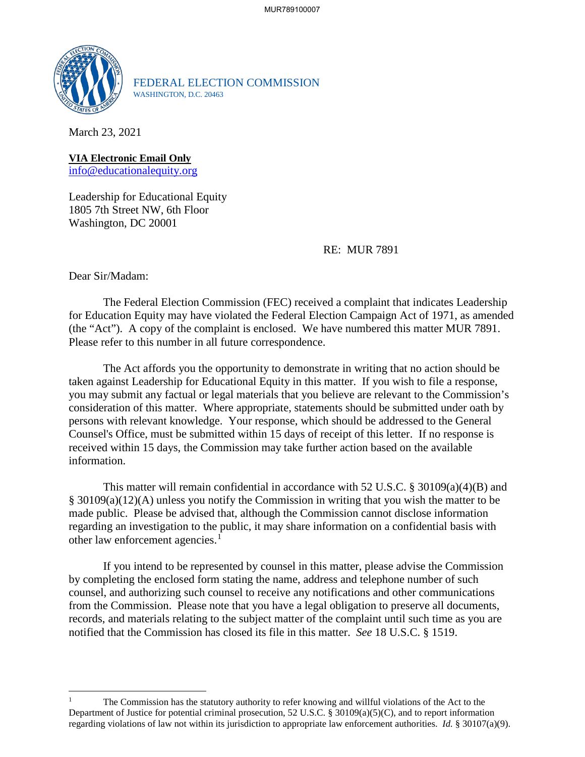

FEDERAL ELECTION COMMISSION WASHINGTON, D.C. 20463

March 23, 2021

**VIA Electronic Email Only** [info@educationalequity.org](mailto:info@educationalequity.org)

Leadership for Educational Equity 1805 7th Street NW, 6th Floor Washington, DC 20001

RE: MUR 7891

Dear Sir/Madam:

 $\overline{a}$ 

The Federal Election Commission (FEC) received a complaint that indicates Leadership for Education Equity may have violated the Federal Election Campaign Act of 1971, as amended (the "Act"). A copy of the complaint is enclosed. We have numbered this matter MUR 7891. Please refer to this number in all future correspondence.

 The Act affords you the opportunity to demonstrate in writing that no action should be taken against Leadership for Educational Equity in this matter. If you wish to file a response, you may submit any factual or legal materials that you believe are relevant to the Commission's consideration of this matter. Where appropriate, statements should be submitted under oath by persons with relevant knowledge. Your response, which should be addressed to the General Counsel's Office, must be submitted within 15 days of receipt of this letter. If no response is received within 15 days, the Commission may take further action based on the available information.

This matter will remain confidential in accordance with 52 U.S.C. § 30109(a)(4)(B) and § 30109(a)(12)(A) unless you notify the Commission in writing that you wish the matter to be made public. Please be advised that, although the Commission cannot disclose information regarding an investigation to the public, it may share information on a confidential basis with other law enforcement agencies.<sup>[1](#page-0-0)</sup>

If you intend to be represented by counsel in this matter, please advise the Commission by completing the enclosed form stating the name, address and telephone number of such counsel, and authorizing such counsel to receive any notifications and other communications from the Commission. Please note that you have a legal obligation to preserve all documents, records, and materials relating to the subject matter of the complaint until such time as you are notified that the Commission has closed its file in this matter. *See* 18 U.S.C. § 1519.

<span id="page-0-0"></span><sup>1</sup> The Commission has the statutory authority to refer knowing and willful violations of the Act to the Department of Justice for potential criminal prosecution, 52 U.S.C. § 30109(a)(5)(C), and to report information regarding violations of law not within its jurisdiction to appropriate law enforcement authorities. *Id.* § 30107(a)(9).